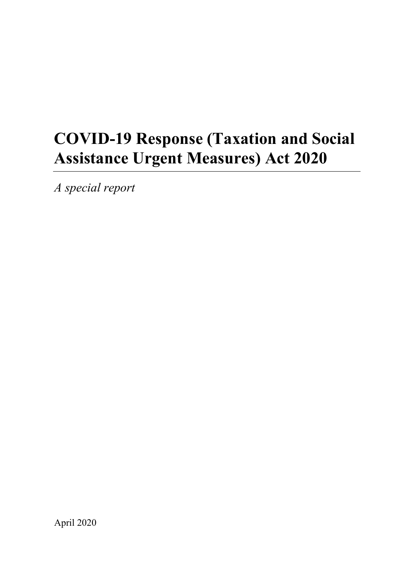# **COVID-19 Response (Taxation and Social Assistance Urgent Measures) Act 2020**

*A special report*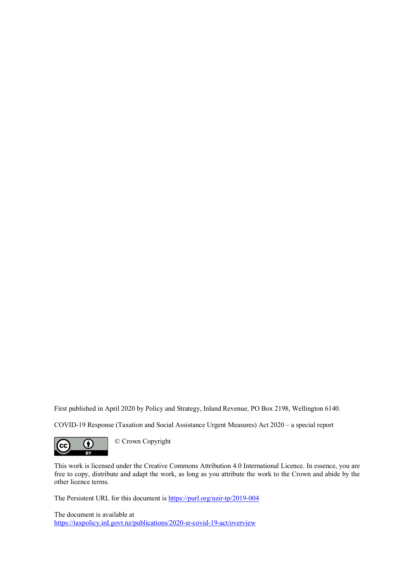First published in April 2020 by Policy and Strategy, Inland Revenue, PO Box 2198, Wellington 6140.

COVID-19 Response (Taxation and Social Assistance Urgent Measures) Act 2020 – a special report



This work is licensed under the Creative Commons Attribution 4.0 International Licence. In essence, you are free to copy, distribute and adapt the work, as long as you attribute the work to the Crown and abide by the other licence terms.

The Persistent URL for this document is <https://purl.org/nzir-tp/2019-004>

The document is available at <https://taxpolicy.ird.govt.nz/publications/2020-sr-covid-19-act/overview>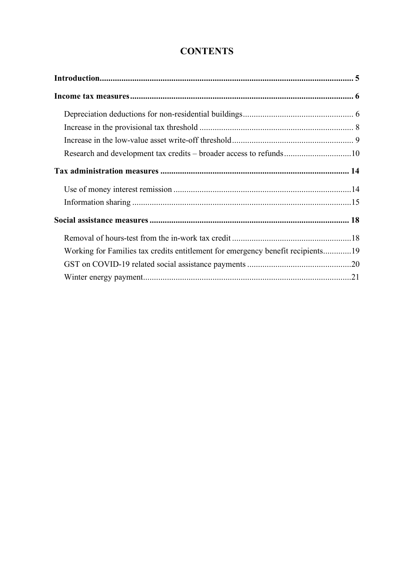# **CONTENTS**

| Research and development tax credits – broader access to refunds10              |  |
|---------------------------------------------------------------------------------|--|
|                                                                                 |  |
|                                                                                 |  |
|                                                                                 |  |
|                                                                                 |  |
|                                                                                 |  |
| Working for Families tax credits entitlement for emergency benefit recipients19 |  |
|                                                                                 |  |
|                                                                                 |  |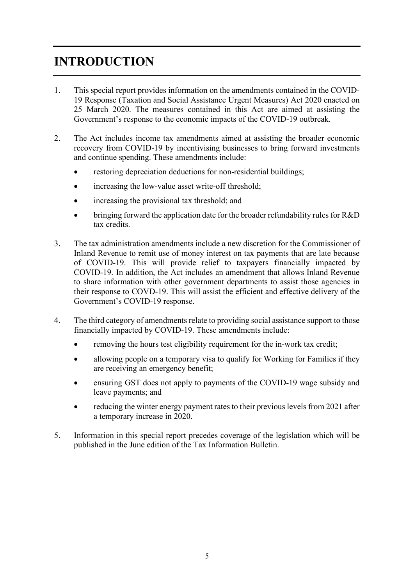# <span id="page-3-0"></span>**INTRODUCTION**

- 1. This special report provides information on the amendments contained in the COVID-19 Response (Taxation and Social Assistance Urgent Measures) Act 2020 enacted on 25 March 2020. The measures contained in this Act are aimed at assisting the Government's response to the economic impacts of the COVID-19 outbreak.
- 2. The Act includes income tax amendments aimed at assisting the broader economic recovery from COVID-19 by incentivising businesses to bring forward investments and continue spending. These amendments include:
	- restoring depreciation deductions for non-residential buildings;
	- increasing the low-value asset write-off threshold;
	- increasing the provisional tax threshold; and
	- bringing forward the application date for the broader refundability rules for R&D tax credits.
- 3. The tax administration amendments include a new discretion for the Commissioner of Inland Revenue to remit use of money interest on tax payments that are late because of COVID-19. This will provide relief to taxpayers financially impacted by COVID-19. In addition, the Act includes an amendment that allows Inland Revenue to share information with other government departments to assist those agencies in their response to COVD-19. This will assist the efficient and effective delivery of the Government's COVID-19 response.
- 4. The third category of amendments relate to providing social assistance support to those financially impacted by COVID-19. These amendments include:
	- removing the hours test eligibility requirement for the in-work tax credit;
	- allowing people on a temporary visa to qualify for Working for Families if they are receiving an emergency benefit;
	- ensuring GST does not apply to payments of the COVID-19 wage subsidy and leave payments; and
	- reducing the winter energy payment rates to their previous levels from 2021 after a temporary increase in 2020.
- 5. Information in this special report precedes coverage of the legislation which will be published in the June edition of the Tax Information Bulletin.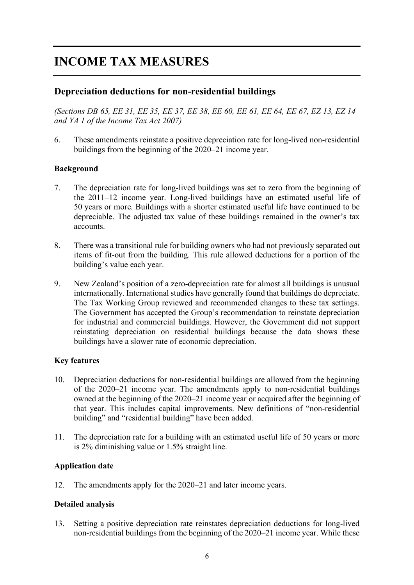# <span id="page-4-0"></span>**INCOME TAX MEASURES**

# <span id="page-4-1"></span>**Depreciation deductions for non-residential buildings**

*(Sections DB 65, EE 31, EE 35, EE 37, EE 38, EE 60, EE 61, EE 64, EE 67, EZ 13, EZ 14 and YA 1 of the Income Tax Act 2007)*

6. These amendments reinstate a positive depreciation rate for long-lived non-residential buildings from the beginning of the 2020–21 income year.

#### **Background**

- 7. The depreciation rate for long-lived buildings was set to zero from the beginning of the 2011–12 income year. Long-lived buildings have an estimated useful life of 50 years or more. Buildings with a shorter estimated useful life have continued to be depreciable. The adjusted tax value of these buildings remained in the owner's tax accounts.
- 8. There was a transitional rule for building owners who had not previously separated out items of fit-out from the building. This rule allowed deductions for a portion of the building's value each year.
- 9. New Zealand's position of a zero-depreciation rate for almost all buildings is unusual internationally. International studies have generally found that buildings do depreciate. The Tax Working Group reviewed and recommended changes to these tax settings. The Government has accepted the Group's recommendation to reinstate depreciation for industrial and commercial buildings. However, the Government did not support reinstating depreciation on residential buildings because the data shows these buildings have a slower rate of economic depreciation.

#### **Key features**

- 10. Depreciation deductions for non-residential buildings are allowed from the beginning of the 2020–21 income year. The amendments apply to non-residential buildings owned at the beginning of the 2020–21 income year or acquired after the beginning of that year. This includes capital improvements. New definitions of "non-residential building" and "residential building" have been added.
- 11. The depreciation rate for a building with an estimated useful life of 50 years or more is 2% diminishing value or 1.5% straight line.

#### **Application date**

12. The amendments apply for the 2020–21 and later income years.

#### **Detailed analysis**

13. Setting a positive depreciation rate reinstates depreciation deductions for long-lived non-residential buildings from the beginning of the 2020–21 income year. While these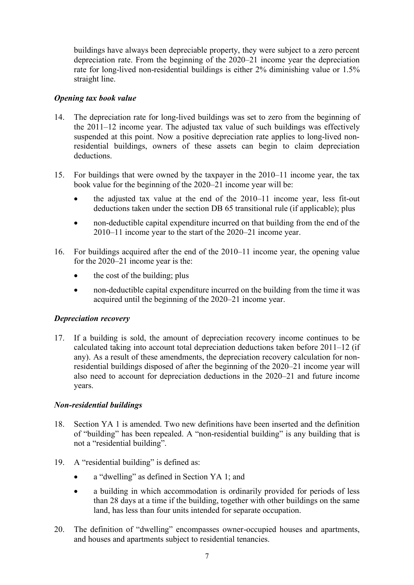buildings have always been depreciable property, they were subject to a zero percent depreciation rate. From the beginning of the 2020–21 income year the depreciation rate for long-lived non-residential buildings is either 2% diminishing value or 1.5% straight line.

#### *Opening tax book value*

- 14. The depreciation rate for long-lived buildings was set to zero from the beginning of the 2011–12 income year. The adjusted tax value of such buildings was effectively suspended at this point. Now a positive depreciation rate applies to long-lived nonresidential buildings, owners of these assets can begin to claim depreciation deductions.
- 15. For buildings that were owned by the taxpayer in the 2010–11 income year, the tax book value for the beginning of the 2020–21 income year will be:
	- the adjusted tax value at the end of the 2010–11 income year, less fit-out deductions taken under the section DB 65 transitional rule (if applicable); plus
	- non-deductible capital expenditure incurred on that building from the end of the 2010–11 income year to the start of the 2020–21 income year.
- 16. For buildings acquired after the end of the 2010–11 income year, the opening value for the 2020–21 income year is the:
	- the cost of the building; plus
	- non-deductible capital expenditure incurred on the building from the time it was acquired until the beginning of the 2020–21 income year.

#### *Depreciation recovery*

17. If a building is sold, the amount of depreciation recovery income continues to be calculated taking into account total depreciation deductions taken before 2011–12 (if any). As a result of these amendments, the depreciation recovery calculation for nonresidential buildings disposed of after the beginning of the 2020–21 income year will also need to account for depreciation deductions in the 2020–21 and future income years.

#### *Non-residential buildings*

- 18. Section YA 1 is amended. Two new definitions have been inserted and the definition of "building" has been repealed. A "non-residential building" is any building that is not a "residential building".
- 19. A "residential building" is defined as:
	- a "dwelling" as defined in Section YA 1; and
	- a building in which accommodation is ordinarily provided for periods of less than 28 days at a time if the building, together with other buildings on the same land, has less than four units intended for separate occupation.
- 20. The definition of "dwelling" encompasses owner-occupied houses and apartments, and houses and apartments subject to residential tenancies.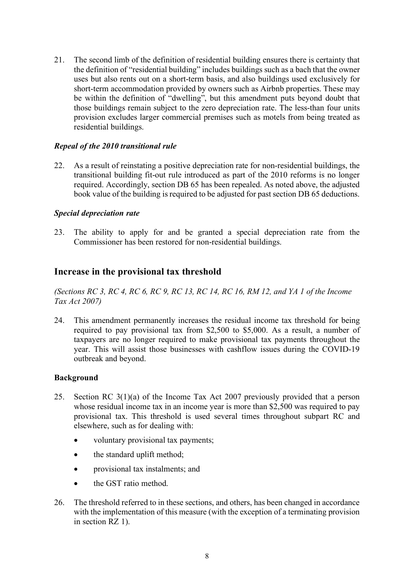21. The second limb of the definition of residential building ensures there is certainty that the definition of "residential building" includes buildings such as a bach that the owner uses but also rents out on a short-term basis, and also buildings used exclusively for short-term accommodation provided by owners such as Airbnb properties. These may be within the definition of "dwelling", but this amendment puts beyond doubt that those buildings remain subject to the zero depreciation rate. The less-than four units provision excludes larger commercial premises such as motels from being treated as residential buildings.

#### *Repeal of the 2010 transitional rule*

22. As a result of reinstating a positive depreciation rate for non-residential buildings, the transitional building fit-out rule introduced as part of the 2010 reforms is no longer required. Accordingly, section DB 65 has been repealed. As noted above, the adjusted book value of the building is required to be adjusted for past section DB 65 deductions.

#### *Special depreciation rate*

23. The ability to apply for and be granted a special depreciation rate from the Commissioner has been restored for non-residential buildings.

## <span id="page-6-0"></span>**Increase in the provisional tax threshold**

*(Sections RC 3, RC 4, RC 6, RC 9, RC 13, RC 14, RC 16, RM 12, and YA 1 of the Income Tax Act 2007)*

24. This amendment permanently increases the residual income tax threshold for being required to pay provisional tax from \$2,500 to \$5,000. As a result, a number of taxpayers are no longer required to make provisional tax payments throughout the year. This will assist those businesses with cashflow issues during the COVID-19 outbreak and beyond.

#### **Background**

- 25. Section RC 3(1)(a) of the Income Tax Act 2007 previously provided that a person whose residual income tax in an income year is more than \$2,500 was required to pay provisional tax. This threshold is used several times throughout subpart RC and elsewhere, such as for dealing with:
	- voluntary provisional tax payments;
	- the standard uplift method;
	- provisional tax instalments; and
	- the GST ratio method.
- 26. The threshold referred to in these sections, and others, has been changed in accordance with the implementation of this measure (with the exception of a terminating provision in section RZ 1).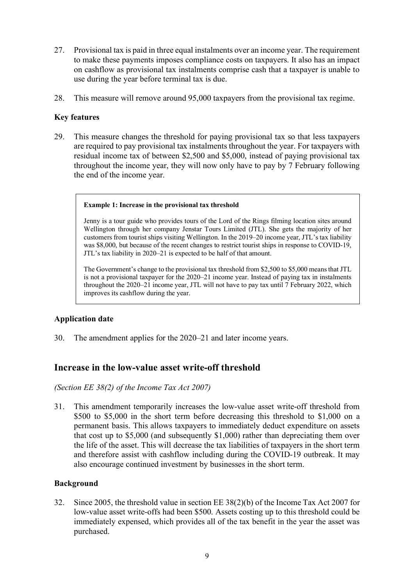- 27. Provisional tax is paid in three equal instalments over an income year. The requirement to make these payments imposes compliance costs on taxpayers. It also has an impact on cashflow as provisional tax instalments comprise cash that a taxpayer is unable to use during the year before terminal tax is due.
- 28. This measure will remove around 95,000 taxpayers from the provisional tax regime.

#### **Key features**

29. This measure changes the threshold for paying provisional tax so that less taxpayers are required to pay provisional tax instalments throughout the year. For taxpayers with residual income tax of between \$2,500 and \$5,000, instead of paying provisional tax throughout the income year, they will now only have to pay by 7 February following the end of the income year.

#### **Example 1: Increase in the provisional tax threshold**

Jenny is a tour guide who provides tours of the Lord of the Rings filming location sites around Wellington through her company Jenstar Tours Limited (JTL). She gets the majority of her customers from tourist ships visiting Wellington. In the 2019–20 income year, JTL's tax liability was \$8,000, but because of the recent changes to restrict tourist ships in response to COVID-19, JTL's tax liability in 2020–21 is expected to be half of that amount.

The Government's change to the provisional tax threshold from \$2,500 to \$5,000 means that JTL is not a provisional taxpayer for the 2020–21 income year. Instead of paying tax in instalments throughout the 2020–21 income year, JTL will not have to pay tax until 7 February 2022, which improves its cashflow during the year.

#### **Application date**

30. The amendment applies for the 2020–21 and later income years.

## <span id="page-7-0"></span>**Increase in the low-value asset write-off threshold**

*(Section EE 38(2) of the Income Tax Act 2007)*

31. This amendment temporarily increases the low-value asset write-off threshold from \$500 to \$5,000 in the short term before decreasing this threshold to \$1,000 on a permanent basis. This allows taxpayers to immediately deduct expenditure on assets that cost up to \$5,000 (and subsequently \$1,000) rather than depreciating them over the life of the asset. This will decrease the tax liabilities of taxpayers in the short term and therefore assist with cashflow including during the COVID-19 outbreak. It may also encourage continued investment by businesses in the short term.

#### **Background**

32. Since 2005, the threshold value in section EE 38(2)(b) of the Income Tax Act 2007 for low-value asset write-offs had been \$500. Assets costing up to this threshold could be immediately expensed, which provides all of the tax benefit in the year the asset was purchased.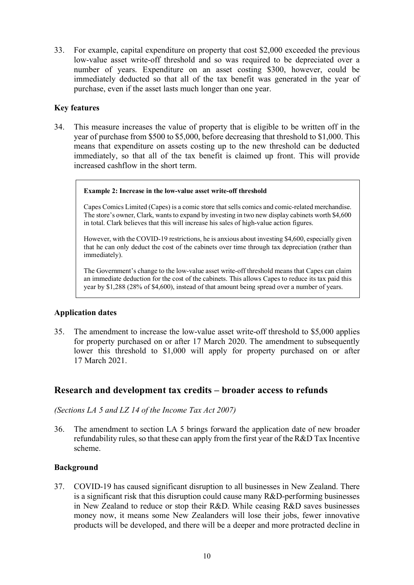33. For example, capital expenditure on property that cost \$2,000 exceeded the previous low-value asset write-off threshold and so was required to be depreciated over a number of years. Expenditure on an asset costing \$300, however, could be immediately deducted so that all of the tax benefit was generated in the year of purchase, even if the asset lasts much longer than one year.

#### **Key features**

34. This measure increases the value of property that is eligible to be written off in the year of purchase from \$500 to \$5,000, before decreasing that threshold to \$1,000. This means that expenditure on assets costing up to the new threshold can be deducted immediately, so that all of the tax benefit is claimed up front. This will provide increased cashflow in the short term.

#### **Example 2: Increase in the low-value asset write-off threshold**

Capes Comics Limited (Capes) is a comic store that sells comics and comic-related merchandise. The store's owner, Clark, wants to expand by investing in two new display cabinets worth \$4,600 in total. Clark believes that this will increase his sales of high-value action figures.

However, with the COVID-19 restrictions, he is anxious about investing \$4,600, especially given that he can only deduct the cost of the cabinets over time through tax depreciation (rather than immediately).

The Government's change to the low-value asset write-off threshold means that Capes can claim an immediate deduction for the cost of the cabinets. This allows Capes to reduce its tax paid this year by \$1,288 (28% of \$4,600), instead of that amount being spread over a number of years.

#### **Application dates**

35. The amendment to increase the low-value asset write-off threshold to \$5,000 applies for property purchased on or after 17 March 2020. The amendment to subsequently lower this threshold to \$1,000 will apply for property purchased on or after 17 March 2021.

## <span id="page-8-0"></span>**Research and development tax credits – broader access to refunds**

*(Sections LA 5 and LZ 14 of the Income Tax Act 2007)*

36. The amendment to section LA 5 brings forward the application date of new broader refundability rules, so that these can apply from the first year of the  $R&D$  Tax Incentive scheme.

#### **Background**

37. COVID-19 has caused significant disruption to all businesses in New Zealand. There is a significant risk that this disruption could cause many R&D-performing businesses in New Zealand to reduce or stop their R&D. While ceasing R&D saves businesses money now, it means some New Zealanders will lose their jobs, fewer innovative products will be developed, and there will be a deeper and more protracted decline in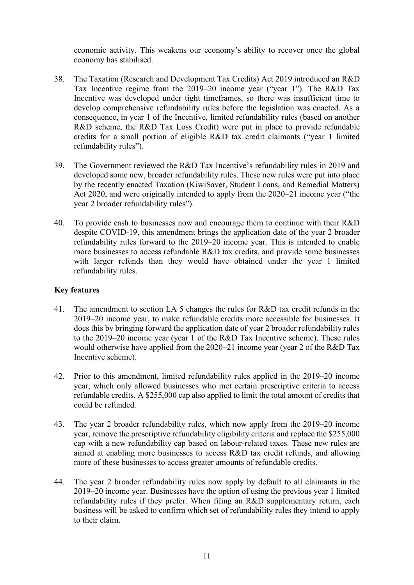economic activity. This weakens our economy's ability to recover once the global economy has stabilised.

- 38. The Taxation (Research and Development Tax Credits) Act 2019 introduced an R&D Tax Incentive regime from the 2019–20 income year ("year 1"). The R&D Tax Incentive was developed under tight timeframes, so there was insufficient time to develop comprehensive refundability rules before the legislation was enacted. As a consequence, in year 1 of the Incentive, limited refundability rules (based on another R&D scheme, the R&D Tax Loss Credit) were put in place to provide refundable credits for a small portion of eligible R&D tax credit claimants ("year 1 limited refundability rules").
- 39. The Government reviewed the R&D Tax Incentive's refundability rules in 2019 and developed some new, broader refundability rules. These new rules were put into place by the recently enacted Taxation (KiwiSaver, Student Loans, and Remedial Matters) Act 2020, and were originally intended to apply from the 2020–21 income year ("the year 2 broader refundability rules").
- 40. To provide cash to businesses now and encourage them to continue with their R&D despite COVID-19, this amendment brings the application date of the year 2 broader refundability rules forward to the 2019–20 income year. This is intended to enable more businesses to access refundable R&D tax credits, and provide some businesses with larger refunds than they would have obtained under the year 1 limited refundability rules.

#### **Key features**

- 41. The amendment to section LA 5 changes the rules for R&D tax credit refunds in the 2019–20 income year, to make refundable credits more accessible for businesses. It does this by bringing forward the application date of year 2 broader refundability rules to the 2019–20 income year (year 1 of the R&D Tax Incentive scheme). These rules would otherwise have applied from the 2020–21 income year (year 2 of the R&D Tax Incentive scheme).
- 42. Prior to this amendment, limited refundability rules applied in the 2019–20 income year, which only allowed businesses who met certain prescriptive criteria to access refundable credits. A \$255,000 cap also applied to limit the total amount of credits that could be refunded.
- 43. The year 2 broader refundability rules, which now apply from the 2019–20 income year, remove the prescriptive refundability eligibility criteria and replace the \$255,000 cap with a new refundability cap based on labour-related taxes. These new rules are aimed at enabling more businesses to access R&D tax credit refunds, and allowing more of these businesses to access greater amounts of refundable credits.
- 44. The year 2 broader refundability rules now apply by default to all claimants in the 2019–20 income year. Businesses have the option of using the previous year 1 limited refundability rules if they prefer. When filing an R&D supplementary return, each business will be asked to confirm which set of refundability rules they intend to apply to their claim.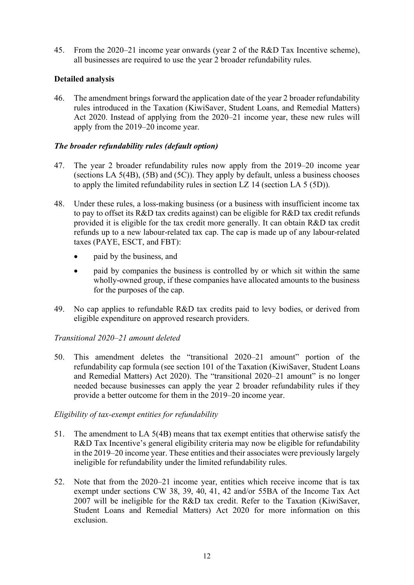45. From the 2020–21 income year onwards (year 2 of the R&D Tax Incentive scheme), all businesses are required to use the year 2 broader refundability rules.

#### **Detailed analysis**

46. The amendment brings forward the application date of the year 2 broader refundability rules introduced in the Taxation (KiwiSaver, Student Loans, and Remedial Matters) Act 2020. Instead of applying from the 2020–21 income year, these new rules will apply from the 2019–20 income year.

#### *The broader refundability rules (default option)*

- 47. The year 2 broader refundability rules now apply from the 2019–20 income year (sections LA 5(4B), (5B) and (5C)). They apply by default, unless a business chooses to apply the limited refundability rules in section LZ 14 (section LA 5 (5D)).
- 48. Under these rules, a loss-making business (or a business with insufficient income tax to pay to offset its R&D tax credits against) can be eligible for R&D tax credit refunds provided it is eligible for the tax credit more generally. It can obtain R&D tax credit refunds up to a new labour-related tax cap. The cap is made up of any labour-related taxes (PAYE, ESCT, and FBT):
	- paid by the business, and
	- paid by companies the business is controlled by or which sit within the same wholly-owned group, if these companies have allocated amounts to the business for the purposes of the cap.
- 49. No cap applies to refundable R&D tax credits paid to levy bodies, or derived from eligible expenditure on approved research providers.

#### *Transitional 2020–21 amount deleted*

50. This amendment deletes the "transitional 2020–21 amount" portion of the refundability cap formula (see section 101 of the Taxation (KiwiSaver, Student Loans and Remedial Matters) Act 2020). The "transitional 2020–21 amount" is no longer needed because businesses can apply the year 2 broader refundability rules if they provide a better outcome for them in the 2019–20 income year.

#### *Eligibility of tax-exempt entities for refundability*

- 51. The amendment to LA 5(4B) means that tax exempt entities that otherwise satisfy the R&D Tax Incentive's general eligibility criteria may now be eligible for refundability in the 2019–20 income year. These entities and their associates were previously largely ineligible for refundability under the limited refundability rules.
- 52. Note that from the 2020–21 income year, entities which receive income that is tax exempt under sections CW 38, 39, 40, 41, 42 and/or 55BA of the Income Tax Act 2007 will be ineligible for the R&D tax credit. Refer to the Taxation (KiwiSaver, Student Loans and Remedial Matters) Act 2020 for more information on this exclusion.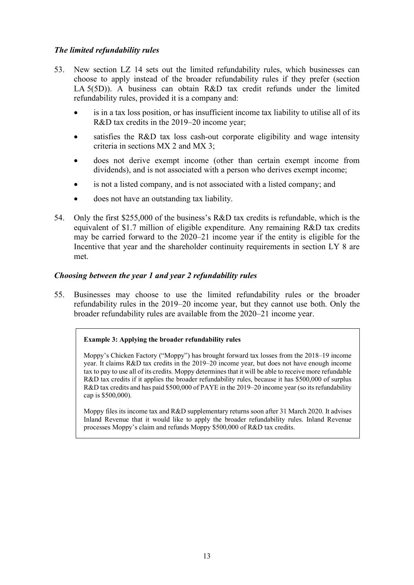#### *The limited refundability rules*

- 53. New section LZ 14 sets out the limited refundability rules, which businesses can choose to apply instead of the broader refundability rules if they prefer (section LA 5(5D)). A business can obtain R&D tax credit refunds under the limited refundability rules, provided it is a company and:
	- is in a tax loss position, or has insufficient income tax liability to utilise all of its R&D tax credits in the 2019–20 income year;
	- satisfies the R&D tax loss cash-out corporate eligibility and wage intensity criteria in sections MX 2 and MX 3;
	- does not derive exempt income (other than certain exempt income from dividends), and is not associated with a person who derives exempt income;
	- is not a listed company, and is not associated with a listed company; and
	- does not have an outstanding tax liability.
- 54. Only the first \$255,000 of the business's R&D tax credits is refundable, which is the equivalent of \$1.7 million of eligible expenditure. Any remaining R&D tax credits may be carried forward to the 2020–21 income year if the entity is eligible for the Incentive that year and the shareholder continuity requirements in section LY 8 are met.

#### *Choosing between the year 1 and year 2 refundability rules*

55. Businesses may choose to use the limited refundability rules or the broader refundability rules in the 2019–20 income year, but they cannot use both. Only the broader refundability rules are available from the 2020–21 income year.

#### **Example 3: Applying the broader refundability rules**

Moppy's Chicken Factory ("Moppy") has brought forward tax losses from the 2018–19 income year. It claims R&D tax credits in the 2019–20 income year, but does not have enough income tax to pay to use all of its credits. Moppy determines that it will be able to receive more refundable R&D tax credits if it applies the broader refundability rules, because it has \$500,000 of surplus R&D tax credits and has paid \$500,000 of PAYE in the 2019–20 income year (so its refundability cap is \$500,000).

Moppy files its income tax and R&D supplementary returns soon after 31 March 2020. It advises Inland Revenue that it would like to apply the broader refundability rules. Inland Revenue processes Moppy's claim and refunds Moppy \$500,000 of R&D tax credits.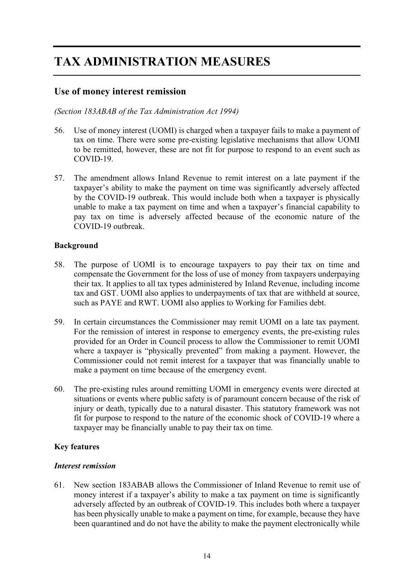# <span id="page-12-0"></span>**TAX ADMINISTRATION MEASURES**

# <span id="page-12-1"></span>**Use of money interest remission**

#### *(Section 183ABAB of the Tax Administration Act 1994)*

- 56. Use of money interest (UOMI) is charged when a taxpayer fails to make a payment of tax on time. There were some pre-existing legislative mechanisms that allow UOMI to be remitted, however, these are not fit for purpose to respond to an event such as COVID-19.
- 57. The amendment allows Inland Revenue to remit interest on a late payment if the taxpayer's ability to make the payment on time was significantly adversely affected by the COVID-19 outbreak. This would include both when a taxpayer is physically unable to make a tax payment on time and when a taxpayer's financial capability to pay tax on time is adversely affected because of the economic nature of the COVID-19 outbreak.

#### **Background**

- 58. The purpose of UOMI is to encourage taxpayers to pay their tax on time and compensate the Government for the loss of use of money from taxpayers underpaying their tax. It applies to all tax types administered by Inland Revenue, including income tax and GST. UOMI also applies to underpayments of tax that are withheld at source, such as PAYE and RWT. UOMI also applies to Working for Families debt.
- 59. In certain circumstances the Commissioner may remit UOMI on a late tax payment. For the remission of interest in response to emergency events, the pre-existing rules provided for an Order in Council process to allow the Commissioner to remit UOMI where a taxpayer is "physically prevented" from making a payment. However, the Commissioner could not remit interest for a taxpayer that was financially unable to make a payment on time because of the emergency event.
- 60. The pre-existing rules around remitting UOMI in emergency events were directed at situations or events where public safety is of paramount concern because of the risk of injury or death, typically due to a natural disaster. This statutory framework was not fit for purpose to respond to the nature of the economic shock of COVID-19 where a taxpayer may be financially unable to pay their tax on time.

#### **Key features**

#### *Interest remission*

61. New section 183ABAB allows the Commissioner of Inland Revenue to remit use of money interest if a taxpayer's ability to make a tax payment on time is significantly adversely affected by an outbreak of COVID-19. This includes both where a taxpayer has been physically unable to make a payment on time, for example, because they have been quarantined and do not have the ability to make the payment electronically while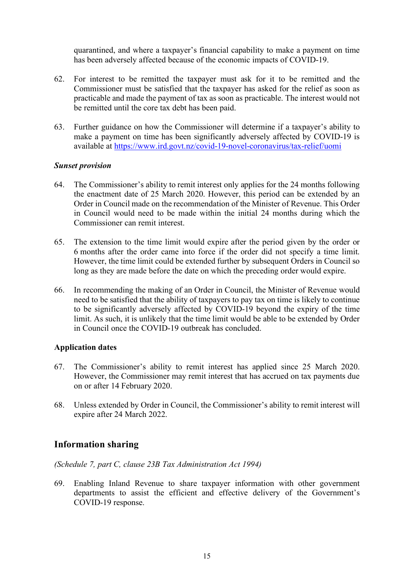quarantined, and where a taxpayer's financial capability to make a payment on time has been adversely affected because of the economic impacts of COVID-19.

- 62. For interest to be remitted the taxpayer must ask for it to be remitted and the Commissioner must be satisfied that the taxpayer has asked for the relief as soon as practicable and made the payment of tax as soon as practicable. The interest would not be remitted until the core tax debt has been paid.
- 63. Further guidance on how the Commissioner will determine if a taxpayer's ability to make a payment on time has been significantly adversely affected by COVID-19 is available at <https://www.ird.govt.nz/covid-19-novel-coronavirus/tax-relief/uomi>

#### *Sunset provision*

- 64. The Commissioner's ability to remit interest only applies for the 24 months following the enactment date of 25 March 2020. However, this period can be extended by an Order in Council made on the recommendation of the Minister of Revenue. This Order in Council would need to be made within the initial 24 months during which the Commissioner can remit interest.
- 65. The extension to the time limit would expire after the period given by the order or 6 months after the order came into force if the order did not specify a time limit. However, the time limit could be extended further by subsequent Orders in Council so long as they are made before the date on which the preceding order would expire.
- 66. In recommending the making of an Order in Council, the Minister of Revenue would need to be satisfied that the ability of taxpayers to pay tax on time is likely to continue to be significantly adversely affected by COVID-19 beyond the expiry of the time limit. As such, it is unlikely that the time limit would be able to be extended by Order in Council once the COVID-19 outbreak has concluded.

#### **Application dates**

- 67. The Commissioner's ability to remit interest has applied since 25 March 2020. However, the Commissioner may remit interest that has accrued on tax payments due on or after 14 February 2020.
- 68. Unless extended by Order in Council, the Commissioner's ability to remit interest will expire after 24 March 2022.

## <span id="page-13-0"></span>**Information sharing**

#### *(Schedule 7, part C, clause 23B Tax Administration Act 1994)*

69. Enabling Inland Revenue to share taxpayer information with other government departments to assist the efficient and effective delivery of the Government's COVID-19 response.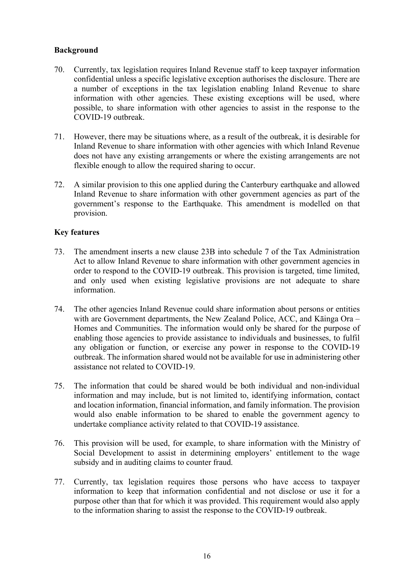#### **Background**

- 70. Currently, tax legislation requires Inland Revenue staff to keep taxpayer information confidential unless a specific legislative exception authorises the disclosure. There are a number of exceptions in the tax legislation enabling Inland Revenue to share information with other agencies. These existing exceptions will be used, where possible, to share information with other agencies to assist in the response to the COVID-19 outbreak.
- 71. However, there may be situations where, as a result of the outbreak, it is desirable for Inland Revenue to share information with other agencies with which Inland Revenue does not have any existing arrangements or where the existing arrangements are not flexible enough to allow the required sharing to occur.
- 72. A similar provision to this one applied during the Canterbury earthquake and allowed Inland Revenue to share information with other government agencies as part of the government's response to the Earthquake. This amendment is modelled on that provision.

#### **Key features**

- 73. The amendment inserts a new clause 23B into schedule 7 of the Tax Administration Act to allow Inland Revenue to share information with other government agencies in order to respond to the COVID-19 outbreak. This provision is targeted, time limited, and only used when existing legislative provisions are not adequate to share information.
- 74. The other agencies Inland Revenue could share information about persons or entities with are Government departments, the New Zealand Police, ACC, and Kāinga Ora – Homes and Communities. The information would only be shared for the purpose of enabling those agencies to provide assistance to individuals and businesses, to fulfil any obligation or function, or exercise any power in response to the COVID-19 outbreak. The information shared would not be available for use in administering other assistance not related to COVID-19.
- 75. The information that could be shared would be both individual and non-individual information and may include, but is not limited to, identifying information, contact and location information, financial information, and family information. The provision would also enable information to be shared to enable the government agency to undertake compliance activity related to that COVID-19 assistance.
- 76. This provision will be used, for example, to share information with the Ministry of Social Development to assist in determining employers' entitlement to the wage subsidy and in auditing claims to counter fraud.
- 77. Currently, tax legislation requires those persons who have access to taxpayer information to keep that information confidential and not disclose or use it for a purpose other than that for which it was provided. This requirement would also apply to the information sharing to assist the response to the COVID-19 outbreak.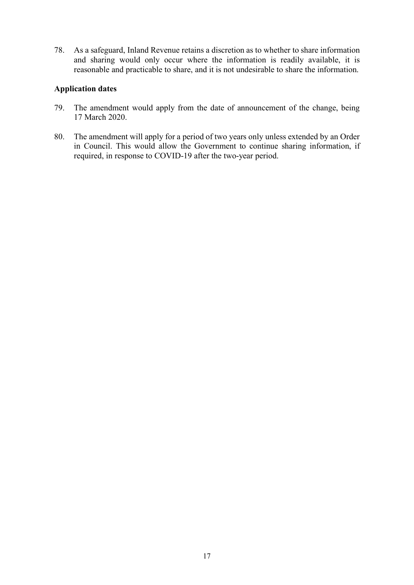78. As a safeguard, Inland Revenue retains a discretion as to whether to share information and sharing would only occur where the information is readily available, it is reasonable and practicable to share, and it is not undesirable to share the information.

#### **Application dates**

- 79. The amendment would apply from the date of announcement of the change, being 17 March 2020.
- 80. The amendment will apply for a period of two years only unless extended by an Order in Council. This would allow the Government to continue sharing information, if required, in response to COVID-19 after the two-year period.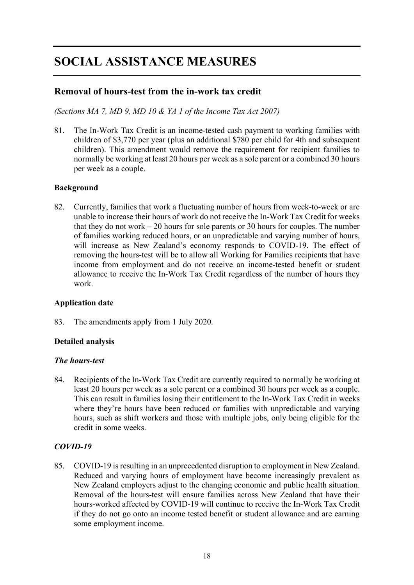# <span id="page-16-0"></span>**SOCIAL ASSISTANCE MEASURES**

# <span id="page-16-1"></span>**Removal of hours-test from the in-work tax credit**

*(Sections MA 7, MD 9, MD 10 & YA 1 of the Income Tax Act 2007)*

81. The In-Work Tax Credit is an income-tested cash payment to working families with children of \$3,770 per year (plus an additional \$780 per child for 4th and subsequent children). This amendment would remove the requirement for recipient families to normally be working at least 20 hours per week as a sole parent or a combined 30 hours per week as a couple.

#### **Background**

82. Currently, families that work a fluctuating number of hours from week-to-week or are unable to increase their hours of work do not receive the In-Work Tax Credit for weeks that they do not work  $-20$  hours for sole parents or 30 hours for couples. The number of families working reduced hours, or an unpredictable and varying number of hours, will increase as New Zealand's economy responds to COVID-19. The effect of removing the hours-test will be to allow all Working for Families recipients that have income from employment and do not receive an income-tested benefit or student allowance to receive the In-Work Tax Credit regardless of the number of hours they work.

#### **Application date**

83. The amendments apply from 1 July 2020.

#### **Detailed analysis**

#### *The hours-test*

84. Recipients of the In-Work Tax Credit are currently required to normally be working at least 20 hours per week as a sole parent or a combined 30 hours per week as a couple. This can result in families losing their entitlement to the In-Work Tax Credit in weeks where they're hours have been reduced or families with unpredictable and varying hours, such as shift workers and those with multiple jobs, only being eligible for the credit in some weeks.

#### *COVID-19*

85. COVID-19 is resulting in an unprecedented disruption to employment in New Zealand. Reduced and varying hours of employment have become increasingly prevalent as New Zealand employers adjust to the changing economic and public health situation. Removal of the hours-test will ensure families across New Zealand that have their hours-worked affected by COVID-19 will continue to receive the In-Work Tax Credit if they do not go onto an income tested benefit or student allowance and are earning some employment income.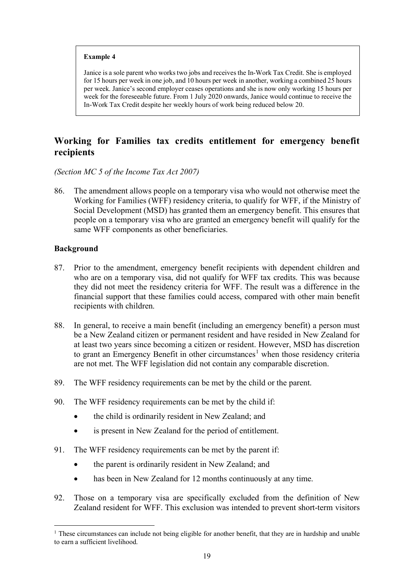#### **Example 4**

Janice is a sole parent who works two jobs and receives the In-Work Tax Credit. She is employed for 15 hours per week in one job, and 10 hours per week in another, working a combined 25 hours per week. Janice's second employer ceases operations and she is now only working 15 hours per week for the foreseeable future. From 1 July 2020 onwards, Janice would continue to receive the In-Work Tax Credit despite her weekly hours of work being reduced below 20.

# <span id="page-17-0"></span>**Working for Families tax credits entitlement for emergency benefit recipients**

*(Section MC 5 of the Income Tax Act 2007)*

86. The amendment allows people on a temporary visa who would not otherwise meet the Working for Families (WFF) residency criteria, to qualify for WFF, if the Ministry of Social Development (MSD) has granted them an emergency benefit. This ensures that people on a temporary visa who are granted an emergency benefit will qualify for the same WFF components as other beneficiaries.

#### **Background**

- 87. Prior to the amendment, emergency benefit recipients with dependent children and who are on a temporary visa, did not qualify for WFF tax credits. This was because they did not meet the residency criteria for WFF. The result was a difference in the financial support that these families could access, compared with other main benefit recipients with children.
- 88. In general, to receive a main benefit (including an emergency benefit) a person must be a New Zealand citizen or permanent resident and have resided in New Zealand for at least two years since becoming a citizen or resident. However, MSD has discretion to grant an Emergency Benefit in other circumstances<sup>[1](#page-17-1)</sup> when those residency criteria are not met. The WFF legislation did not contain any comparable discretion.
- 89. The WFF residency requirements can be met by the child or the parent.
- 90. The WFF residency requirements can be met by the child if:
	- the child is ordinarily resident in New Zealand; and
	- is present in New Zealand for the period of entitlement.
- 91. The WFF residency requirements can be met by the parent if:
	- the parent is ordinarily resident in New Zealand; and
	- has been in New Zealand for 12 months continuously at any time.
- 92. Those on a temporary visa are specifically excluded from the definition of New Zealand resident for WFF. This exclusion was intended to prevent short-term visitors

<span id="page-17-1"></span><sup>&</sup>lt;sup>1</sup> These circumstances can include not being eligible for another benefit, that they are in hardship and unable to earn a sufficient livelihood.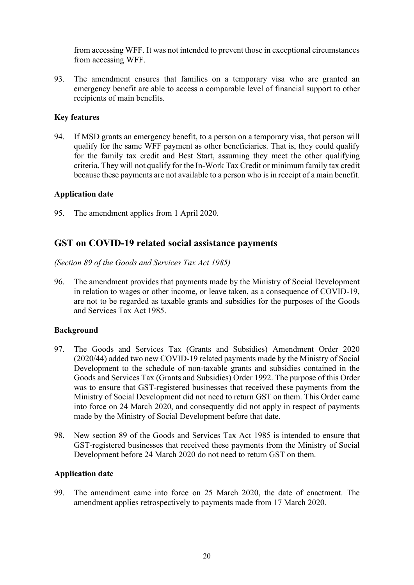from accessing WFF. It was not intended to prevent those in exceptional circumstances from accessing WFF.

93. The amendment ensures that families on a temporary visa who are granted an emergency benefit are able to access a comparable level of financial support to other recipients of main benefits.

#### **Key features**

94. If MSD grants an emergency benefit, to a person on a temporary visa, that person will qualify for the same WFF payment as other beneficiaries. That is, they could qualify for the family tax credit and Best Start, assuming they meet the other qualifying criteria. They will not qualify for the In-Work Tax Credit or minimum family tax credit because these payments are not available to a person who is in receipt of a main benefit.

#### **Application date**

95. The amendment applies from 1 April 2020.

## <span id="page-18-0"></span>**GST on COVID-19 related social assistance payments**

*(Section 89 of the Goods and Services Tax Act 1985)*

96. The amendment provides that payments made by the Ministry of Social Development in relation to wages or other income, or leave taken, as a consequence of COVID-19, are not to be regarded as taxable grants and subsidies for the purposes of the Goods and Services Tax Act 1985.

#### **Background**

- 97. The Goods and Services Tax (Grants and Subsidies) Amendment Order 2020 (2020/44) added two new COVID-19 related payments made by the Ministry of Social Development to the schedule of non-taxable grants and subsidies contained in the Goods and Services Tax (Grants and Subsidies) Order 1992. The purpose of this Order was to ensure that GST-registered businesses that received these payments from the Ministry of Social Development did not need to return GST on them. This Order came into force on 24 March 2020, and consequently did not apply in respect of payments made by the Ministry of Social Development before that date.
- 98. New section 89 of the Goods and Services Tax Act 1985 is intended to ensure that GST-registered businesses that received these payments from the Ministry of Social Development before 24 March 2020 do not need to return GST on them.

#### **Application date**

99. The amendment came into force on 25 March 2020, the date of enactment. The amendment applies retrospectively to payments made from 17 March 2020.